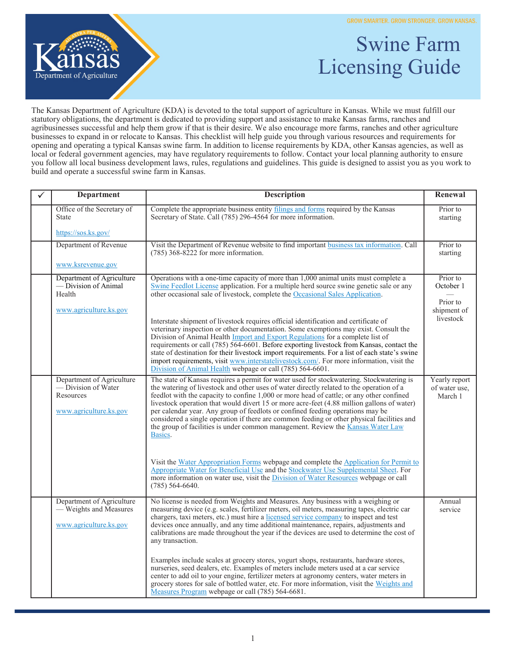GROW SMARTER. GROW STRONGER. GROW KANSAS.



## Swine Farm Licensing Guide

The Kansas Department of Agriculture (KDA) is devoted to the total support of agriculture in Kansas. While we must fulfill our statutory obligations, the department is dedicated to providing support and assistance to make Kansas farms, ranches and agribusinesses successful and help them grow if that is their desire. We also encourage more farms, ranches and other agriculture businesses to expand in or relocate to Kansas. This checklist will help guide you through various resources and requirements for opening and operating a typical Kansas swine farm. In addition to license requirements by KDA, other Kansas agencies, as well as local or federal government agencies, may have regulatory requirements to follow. Contact your local planning authority to ensure you follow all local business development laws, rules, regulations and guidelines. This guide is designed to assist you as you work to build and operate a successful swine farm in Kansas.

| ✓ | <b>Department</b>                                                                       | <b>Description</b>                                                                                                                                                                                                                                                                                                                                                                                                                                                                                                                                                                                                                                           | Renewal                                          |
|---|-----------------------------------------------------------------------------------------|--------------------------------------------------------------------------------------------------------------------------------------------------------------------------------------------------------------------------------------------------------------------------------------------------------------------------------------------------------------------------------------------------------------------------------------------------------------------------------------------------------------------------------------------------------------------------------------------------------------------------------------------------------------|--------------------------------------------------|
|   | Office of the Secretary of<br><b>State</b>                                              | Complete the appropriate business entity filings and forms required by the Kansas<br>Secretary of State. Call (785) 296-4564 for more information.                                                                                                                                                                                                                                                                                                                                                                                                                                                                                                           | Prior to<br>starting                             |
|   | https://sos.ks.gov/                                                                     |                                                                                                                                                                                                                                                                                                                                                                                                                                                                                                                                                                                                                                                              |                                                  |
|   | Department of Revenue                                                                   | Visit the Department of Revenue website to find important business tax information. Call<br>$(785)$ 368-8222 for more information.                                                                                                                                                                                                                                                                                                                                                                                                                                                                                                                           | Prior to<br>starting                             |
|   | www.ksrevenue.gov                                                                       |                                                                                                                                                                                                                                                                                                                                                                                                                                                                                                                                                                                                                                                              |                                                  |
|   | Department of Agriculture<br>— Division of Animal<br>Health<br>www.agriculture.ks.gov   | Operations with a one-time capacity of more than 1,000 animal units must complete a<br>Swine Feedlot License application. For a multiple herd source swine genetic sale or any<br>other occasional sale of livestock, complete the Occasional Sales Application.                                                                                                                                                                                                                                                                                                                                                                                             | Prior to<br>October 1<br>Prior to<br>shipment of |
|   |                                                                                         | Interstate shipment of livestock requires official identification and certificate of<br>veterinary inspection or other documentation. Some exemptions may exist. Consult the<br>Division of Animal Health Import and Export Regulations for a complete list of<br>requirements or call (785) 564-6601. Before exporting livestock from Kansas, contact the<br>state of destination for their livestock import requirements. For a list of each state's swine<br>import requirements, visit www.interstatelivestock.com/. For more information, visit the<br>Division of Animal Health webpage or call (785) 564-6601.                                        | livestock                                        |
|   | Department of Agriculture<br>- Division of Water<br>Resources<br>www.agriculture.ks.gov | The state of Kansas requires a permit for water used for stockwatering. Stockwatering is<br>the watering of livestock and other uses of water directly related to the operation of a<br>feedlot with the capacity to confine 1,000 or more head of cattle; or any other confined<br>livestock operation that would divert 15 or more acre-feet (4.88 million gallons of water)<br>per calendar year. Any group of feedlots or confined feeding operations may be<br>considered a single operation if there are common feeding or other physical facilities and<br>the group of facilities is under common management. Review the Kansas Water Law<br>Basics. | Yearly report<br>of water use.<br>March 1        |
|   |                                                                                         | Visit the Water Appropriation Forms webpage and complete the Application for Permit to<br>Appropriate Water for Beneficial Use and the Stockwater Use Supplemental Sheet. For<br>more information on water use, visit the <i>Division of Water Resources</i> webpage or call<br>$(785)$ 564-6640.                                                                                                                                                                                                                                                                                                                                                            |                                                  |
|   | Department of Agriculture<br>- Weights and Measures<br>www.agriculture.ks.gov           | No license is needed from Weights and Measures. Any business with a weighing or<br>measuring device (e.g. scales, fertilizer meters, oil meters, measuring tapes, electric car<br>chargers, taxi meters, etc.) must hire a licensed service company to inspect and test<br>devices once annually, and any time additional maintenance, repairs, adjustments and<br>calibrations are made throughout the year if the devices are used to determine the cost of<br>any transaction.                                                                                                                                                                            | Annual<br>service                                |
|   |                                                                                         | Examples include scales at grocery stores, yogurt shops, restaurants, hardware stores,<br>nurseries, seed dealers, etc. Examples of meters include meters used at a car service<br>center to add oil to your engine, fertilizer meters at agronomy centers, water meters in<br>grocery stores for sale of bottled water, etc. For more information, visit the Weights and<br>Measures Program webpage or call (785) 564-6681.                                                                                                                                                                                                                                |                                                  |